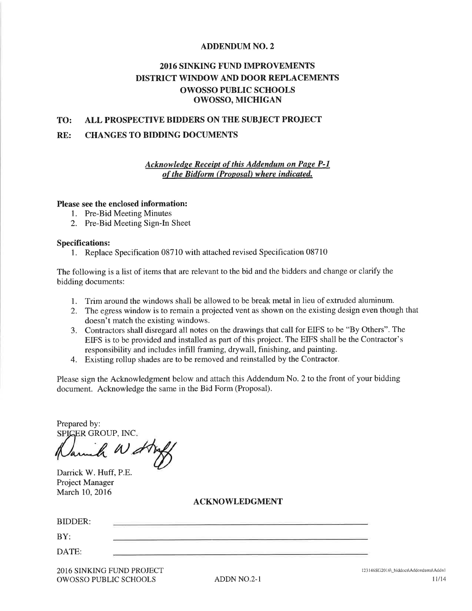# **ADDENDUM NO. 2**

# **2016 SINKING FUND IMPROVEMENTS DISTRICT WINDOW AND DOOR REPLACEMENTS OWOSSO PUBLIC SCHOOLS OWOSSO, MICHIGAN**

### ALL PROSPECTIVE BIDDERS ON THE SUBJECT PROJECT TO:

#### RE: **CHANGES TO BIDDING DOCUMENTS**

# **Acknowledge Receipt of this Addendum on Page P-1** of the Bidform (Proposal) where indicated.

### Please see the enclosed information:

- 1. Pre-Bid Meeting Minutes
- 2. Pre-Bid Meeting Sign-In Sheet

# **Specifications:**

1. Replace Specification 08710 with attached revised Specification 08710

The following is a list of items that are relevant to the bid and the bidders and change or clarify the bidding documents:

- 1. Trim around the windows shall be allowed to be break metal in lieu of extruded aluminum.
- 2. The egress window is to remain a projected vent as shown on the existing design even though that doesn't match the existing windows.
- 3. Contractors shall disregard all notes on the drawings that call for EIFS to be "By Others". The EIFS is to be provided and installed as part of this project. The EIFS shall be the Contractor's responsibility and includes infill framing, drywall, finishing, and painting.
- 4. Existing rollup shades are to be removed and reinstalled by the Contractor.

Please sign the Acknowledgment below and attach this Addendum No. 2 to the front of your bidding document. Acknowledge the same in the Bid Form (Proposal).

Prepared by: SPIGER GROUP, INC.

Darrick W. Huff, P.E. Project Manager March 10, 2016

# **ACKNOWLEDGMENT**

| BIDDER: | <b>The Common State</b> |        |
|---------|-------------------------|--------|
| BY:     | ---                     |        |
| DATE:   | ____                    | ______ |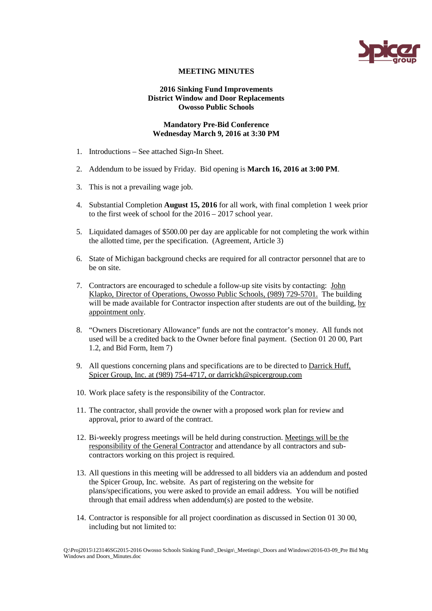

# **MEETING MINUTES**

# **2016 Sinking Fund Improvements District Window and Door Replacements Owosso Public Schools**

# **Mandatory Pre-Bid Conference Wednesday March 9, 2016 at 3:30 PM**

- 1. Introductions See attached Sign-In Sheet.
- 2. Addendum to be issued by Friday. Bid opening is **March 16, 2016 at 3:00 PM**.
- 3. This is not a prevailing wage job.
- 4. Substantial Completion **August 15, 2016** for all work, with final completion 1 week prior to the first week of school for the 2016 – 2017 school year.
- 5. Liquidated damages of \$500.00 per day are applicable for not completing the work within the allotted time, per the specification. (Agreement, Article 3)
- 6. State of Michigan background checks are required for all contractor personnel that are to be on site.
- 7. Contractors are encouraged to schedule a follow-up site visits by contacting: John Klapko, Director of Operations, Owosso Public Schools, (989) 729-5701. The building will be made available for Contractor inspection after students are out of the building, by appointment only.
- 8. "Owners Discretionary Allowance" funds are not the contractor's money. All funds not used will be a credited back to the Owner before final payment. (Section 01 20 00, Part 1.2, and Bid Form, Item 7)
- 9. All questions concerning plans and specifications are to be directed to Darrick Huff, Spicer Group, Inc. at (989) 754-4717, or darrickh@spicergroup.com
- 10. Work place safety is the responsibility of the Contractor.
- 11. The contractor, shall provide the owner with a proposed work plan for review and approval, prior to award of the contract.
- 12. Bi-weekly progress meetings will be held during construction. Meetings will be the responsibility of the General Contractor and attendance by all contractors and subcontractors working on this project is required.
- 13. All questions in this meeting will be addressed to all bidders via an addendum and posted the Spicer Group, Inc. website. As part of registering on the website for plans/specifications, you were asked to provide an email address. You will be notified through that email address when addendum(s) are posted to the website.
- 14. Contractor is responsible for all project coordination as discussed in Section 01 30 00, including but not limited to:

Q:\Proj2015\123146SG2015-2016 Owosso Schools Sinking Fund\\_Design\\_Meetings\\_Doors and Windows\2016-03-09\_Pre Bid Mtg Windows and Doors\_Minutes.doc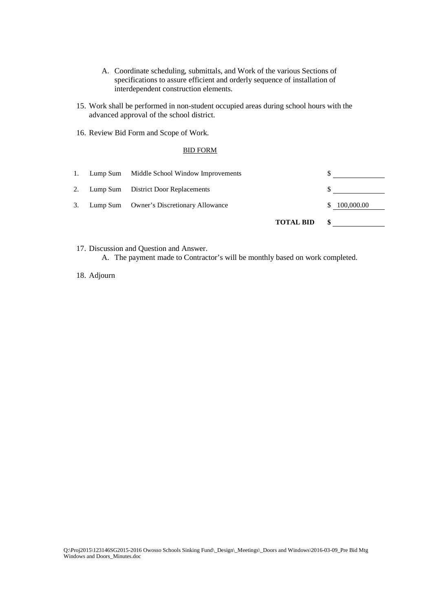- A. Coordinate scheduling, submittals, and Work of the various Sections of specifications to assure efficient and orderly sequence of installation of interdependent construction elements.
- 15. Work shall be performed in non-student occupied areas during school hours with the advanced approval of the school district.
- 16. Review Bid Form and Scope of Work.

# BID FORM

|     |                                            | <b>TOTAL BID</b> | \$         |
|-----|--------------------------------------------|------------------|------------|
| 3.  | Lump Sum Owner's Discretionary Allowance   |                  | 100,000.00 |
| 2.  | Lump Sum District Door Replacements        |                  |            |
| -1. | Lump Sum Middle School Window Improvements |                  |            |

17. Discussion and Question and Answer. A. The payment made to Contractor's will be monthly based on work completed.

18. Adjourn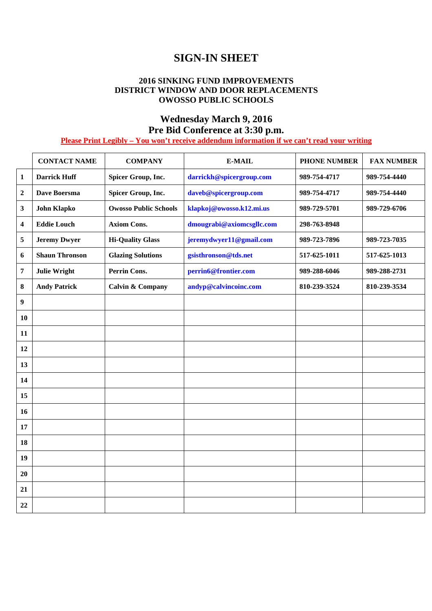# **SIGN-IN SHEET**

# **2016 SINKING FUND IMPROVEMENTS DISTRICT WINDOW AND DOOR REPLACEMENTS OWOSSO PUBLIC SCHOOLS**

# **Wednesday March 9, 2016 Pre Bid Conference at 3:30 p.m.**

# **Please Print Legibly – You won't receive addendum information if we can't read your writing**

|                  | <b>CONTACT NAME</b>   | <b>COMPANY</b>               | <b>E-MAIL</b>             | <b>PHONE NUMBER</b> | <b>FAX NUMBER</b> |
|------------------|-----------------------|------------------------------|---------------------------|---------------------|-------------------|
| $\mathbf{1}$     | <b>Darrick Huff</b>   | Spicer Group, Inc.           | darrickh@spicergroup.com  | 989-754-4717        | 989-754-4440      |
| $\boldsymbol{2}$ | Dave Boersma          | Spicer Group, Inc.           | daveb@spicergroup.com     | 989-754-4717        | 989-754-4440      |
| $\mathbf{3}$     | <b>John Klapko</b>    | <b>Owosso Public Schools</b> | klapkoj@owosso.k12.mi.us  | 989-729-5701        | 989-729-6706      |
| 4                | <b>Eddie Louch</b>    | <b>Axiom Cons.</b>           | dmougrabi@axiomcsgllc.com | 298-763-8948        |                   |
| 5                | <b>Jeremy Dwyer</b>   | <b>Hi-Quality Glass</b>      | jeremydwyer11@gmail.com   | 989-723-7896        | 989-723-7035      |
| 6                | <b>Shaun Thronson</b> | <b>Glazing Solutions</b>     | gsisthronson@tds.net      | 517-625-1011        | 517-625-1013      |
| $\pmb{7}$        | <b>Julie Wright</b>   | <b>Perrin Cons.</b>          | perrin6@frontier.com      | 989-288-6046        | 989-288-2731      |
| 8                | <b>Andy Patrick</b>   | <b>Calvin &amp; Company</b>  | andyp@calvincoinc.com     | 810-239-3524        | 810-239-3534      |
| $\boldsymbol{9}$ |                       |                              |                           |                     |                   |
| 10               |                       |                              |                           |                     |                   |
| 11               |                       |                              |                           |                     |                   |
| 12               |                       |                              |                           |                     |                   |
| 13               |                       |                              |                           |                     |                   |
| 14               |                       |                              |                           |                     |                   |
| 15               |                       |                              |                           |                     |                   |
| 16               |                       |                              |                           |                     |                   |
| 17               |                       |                              |                           |                     |                   |
| 18               |                       |                              |                           |                     |                   |
| 19               |                       |                              |                           |                     |                   |
| 20               |                       |                              |                           |                     |                   |
| 21               |                       |                              |                           |                     |                   |
| 22               |                       |                              |                           |                     |                   |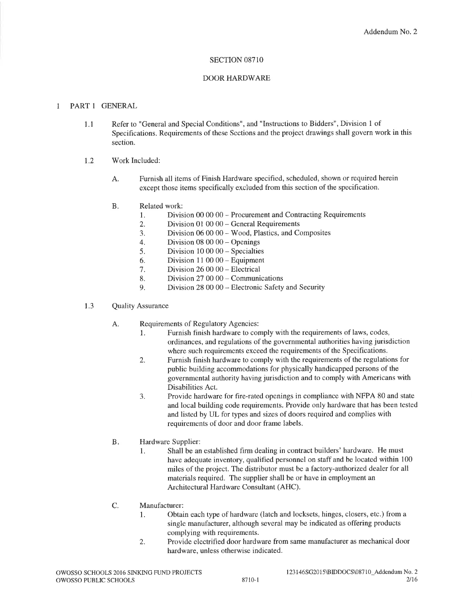# SECTION 08710

# **DOOR HARDWARE**

#### PART 1 GENERAL  $\mathbf{1}$

- Refer to "General and Special Conditions", and "Instructions to Bidders", Division 1 of  $1.1$ Specifications. Requirements of these Sections and the project drawings shall govern work in this section.
- Work Included: 1.2
	- Furnish all items of Finish Hardware specified, scheduled, shown or required herein A. except those items specifically excluded from this section of the specification.
	- Related work:  $B.$ 
		- Division 00 00 00 Procurement and Contracting Requirements 1.
		- Division  $01000 -$ General Requirements  $\overline{2}$ .
		- 3. Division 06 00 00 - Wood, Plastics, and Composites
		- Division  $08000 -$ Openings  $4.$
		- Division  $10000 -$ Specialties 5.
		- Division  $110000 -$  Equipment 6.
		- Division  $260000 -$ Electrical  $7<sub>1</sub>$
		- Division  $270000 -$ Communications 8.
		- Division 28 00 00 Electronic Safety and Security  $9<sub>1</sub>$
- 1.3 **Quality Assurance** 
	- A. Requirements of Regulatory Agencies:
		- 1. Furnish finish hardware to comply with the requirements of laws, codes, ordinances, and regulations of the governmental authorities having jurisdiction where such requirements exceed the requirements of the Specifications.
		- Furnish finish hardware to comply with the requirements of the regulations for 2. public building accommodations for physically handicapped persons of the governmental authority having jurisdiction and to comply with Americans with Disabilities Act.
		- Provide hardware for fire-rated openings in compliance with NFPA 80 and state 3. and local building code requirements. Provide only hardware that has been tested and listed by UL for types and sizes of doors required and complies with requirements of door and door frame labels.
	- $B.$ Hardware Supplier:
		- Shall be an established firm dealing in contract builders' hardware. He must 1. have adequate inventory, qualified personnel on staff and be located within 100 miles of the project. The distributor must be a factory-authorized dealer for all materials required. The supplier shall be or have in employment an Architectural Hardware Consultant (AHC).
	- C. Manufacturer:
		- Obtain each type of hardware (latch and locksets, hinges, closers, etc.) from a 1. single manufacturer, although several may be indicated as offering products complying with requirements.
		- Provide electrified door hardware from same manufacturer as mechanical door 2. hardware, unless otherwise indicated.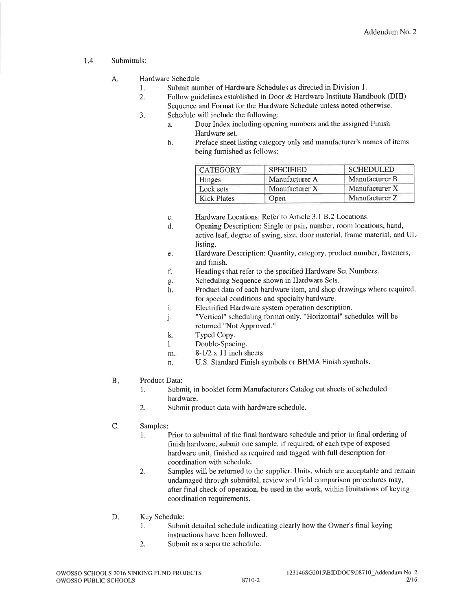#### Submittals:  $1.4$

### Hardware Schedule  $\mathbf{A}$

- Submit number of Hardware Schedules as directed in Division 1.  $\mathbf{1}$
- Follow guidelines established in Door & Hardware Institute Handbook (DHI) 2. Sequence and Format for the Hardware Schedule unless noted otherwise.
- Schedule will include the following:  $\overline{3}$ .
	- Door Index including opening numbers and the assigned Finish  $\mathbf{a}$ Hardware set.
	- Preface sheet listing category only and manufacturer's names of items  $<sub>b</sub>$ </sub> being furnished as follows:

| <b>CATEGORY</b>    | <b>SPECIFIED</b> | <b>SCHEDULED</b> |
|--------------------|------------------|------------------|
| <b>Hinges</b>      | Manufacturer A   | Manufacturer B   |
| Lock sets          | Manufacturer X   | Manufacturer X   |
| <b>Kick Plates</b> | Open             | Manufacturer Z   |

- Hardware Locations: Refer to Article 3.1 B.2 Locations.  $\mathbf{C}.$
- Opening Description: Single or pair, number, room locations, hand,  $\mathbf{d}$ . active leaf, degree of swing, size, door material, frame material, and UL listing.
- Hardware Description: Quantity, category, product number, fasteners, e. and finish.
- Headings that refer to the specified Hardware Set Numbers.  $f_{\cdot}$
- Scheduling Sequence shown in Hardware Sets. g.
- Product data of each hardware item, and shop drawings where required, h. for special conditions and specialty hardware.
- Electrified Hardware system operation description. i.
- "Vertical" scheduling format only. "Horizontal" schedules will be j. returned "Not Approved."
- k. Typed Copy.
- Double-Spacing.  $\mathbf{1}$ .
- $8-1/2 \times 11$  inch sheets  $m$ .
- U.S. Standard Finish symbols or BHMA Finish symbols. n.
- **B.** Product Data:
	- 1. Submit, in booklet form Manufacturers Catalog cut sheets of scheduled hardware.
	- 2. Submit product data with hardware schedule.
- $C_{\cdot}$ Samples:
	- Prior to submittal of the final hardware schedule and prior to final ordering of 1. finish hardware, submit one sample, if required, of each type of exposed hardware unit, finished as required and tagged with full description for coordination with schedule.
	- Samples will be returned to the supplier. Units, which are acceptable and remain  $2.$ undamaged through submittal, review and field comparison procedures may, after final check of operation, be used in the work, within limitations of keying coordination requirements.
- D. Key Schedule:
	- Submit detailed schedule indicating clearly how the Owner's final keying  $1.$ instructions have been followed.
	- 2. Submit as a separate schedule.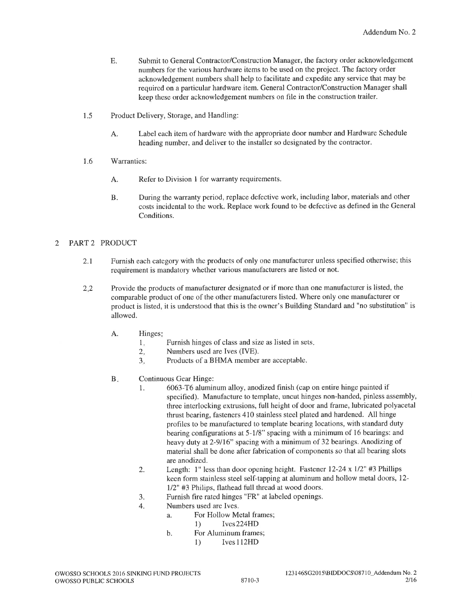- Submit to General Contractor/Construction Manager, the factory order acknowledgement  $E.$ numbers for the various hardware items to be used on the project. The factory order acknowledgement numbers shall help to facilitate and expedite any service that may be required on a particular hardware item. General Contractor/Construction Manager shall keep these order acknowledgement numbers on file in the construction trailer.
- $1.5$ Product Delivery, Storage, and Handling:
	- Label each item of hardware with the appropriate door number and Hardware Schedule A. heading number, and deliver to the installer so designated by the contractor.
- Warranties: 1.6
	- $A<sub>1</sub>$ Refer to Division 1 for warranty requirements.
	- During the warranty period, replace defective work, including labor, materials and other  $\mathbf{B}$ . costs incidental to the work. Replace work found to be defective as defined in the General Conditions.

#### $\overline{2}$ PART 2 PRODUCT

- Furnish each category with the products of only one manufacturer unless specified otherwise; this  $2.1$ requirement is mandatory whether various manufacturers are listed or not.
- Provide the products of manufacturer designated or if more than one manufacturer is listed, the  $2:2$ comparable product of one of the other manufacturers listed. Where only one manufacturer or product is listed, it is understood that this is the owner's Building Standard and "no substitution" is allowed.
	- A. Hinges:
		- $1.$ Furnish hinges of class and size as listed in sets.
		- $2.$ Numbers used are Ives (IVE).
		- Products of a BHMA member are acceptable.  $3.$
	- $B.$ Continuous Gear Hinge:
		- 6063-T6 aluminum alloy, anodized finish (cap on entire hinge painted if  $\mathbf{1}$ specified). Manufacture to template, uncut hinges non-handed, pinless assembly, three interlocking extrusions, full height of door and frame, lubricated polyacetal thrust bearing, fasteners 410 stainless steel plated and hardened. All hinge profiles to be manufactured to template bearing locations, with standard duty bearing configurations at 5-1/8" spacing with a minimum of 16 bearings: and heavy duty at 2-9/16" spacing with a minimum of 32 bearings. Anodizing of material shall be done after fabrication of components so that all bearing slots are anodized.
		- Length:  $1$ " less than door opening height. Fastener 12-24 x  $1/2$ " #3 Phillips 2. keen form stainless steel self-tapping at aluminum and hollow metal doors, 12-1/2" #3 Philips, flathead full thread at wood doors.
		- Furnish fire rated hinges "FR" at labeled openings. 3.
		- Numbers used are Ives.  $\overline{4}$ .
			- For Hollow Metal frames:  $\mathbf{a}$ 
				- $Ives 224HD$  $1)$
			- For Aluminum frames;  $<sub>b</sub>$ </sub>
				- $1)$ Ives 112HD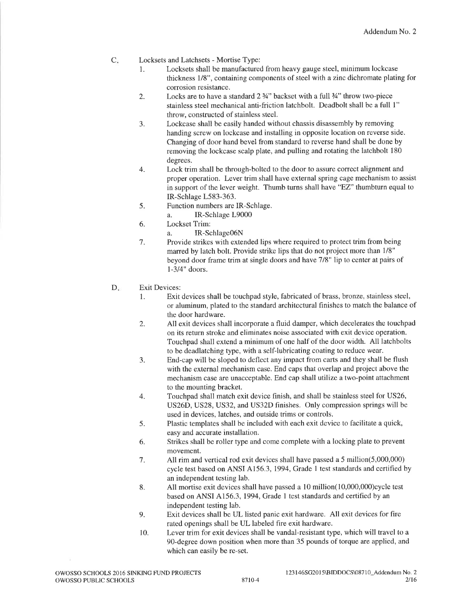- $C_{\star}$ Locksets and Latchsets - Mortise Type:
	- Locksets shall be manufactured from heavy gauge steel, minimum lockcase 1. thickness 1/8", containing components of steel with a zinc dichromate plating for corrosion resistance.
	- Locks are to have a standard  $2\frac{3}{4}$ " backset with a full  $\frac{3}{4}$ " throw two-piece  $\overline{2}$ . stainless steel mechanical anti-friction latchbolt. Deadbolt shall be a full 1" throw, constructed of stainless steel.
	- Lockcase shall be easily handed without chassis disassembly by removing  $3.$ handing screw on lockcase and installing in opposite location on reverse side. Changing of door hand bevel from standard to reverse hand shall be done by removing the lockcase scalp plate, and pulling and rotating the latchbolt 180 degrees.
	- $\overline{4}$ . Lock trim shall be through-bolted to the door to assure correct alignment and proper operation. Lever trim shall have external spring cage mechanism to assist in support of the lever weight. Thumb turns shall have "EZ" thumbturn equal to IR-Schlage L583-363.
	- Function numbers are IR-Schlage.  $\overline{5}$ .
		- IR-Schlage L9000 a.
	- 6. Lockset Trim:
		- IR-Schlage06N a.
	- Provide strikes with extended lips where required to protect trim from being 7. marred by latch bolt. Provide strike lips that do not project more than 1/8" beyond door frame trim at single doors and have 7/8" lip to center at pairs of  $1-3/4$ " doors.
- D. **Exit Devices:** 
	- Exit devices shall be touchpad style, fabricated of brass, bronze, stainless steel, 1. or aluminum, plated to the standard architectural finishes to match the balance of the door hardware.
	- All exit devices shall incorporate a fluid damper, which decelerates the touchpad 2. on its return stroke and eliminates noise associated with exit device operation. Touchpad shall extend a minimum of one half of the door width. All latchbolts to be deadlatching type, with a self-lubricating coating to reduce wear.
	- End-cap will be sloped to deflect any impact from carts and they shall be flush 3. with the external mechanism case. End caps that overlap and project above the mechanism case are unacceptable. End cap shall utilize a two-point attachment to the mounting bracket.
	- Touchpad shall match exit device finish, and shall be stainless steel for US26,  $\overline{4}$ . US26D, US28, US32, and US32D finishes. Only compression springs will be used in devices, latches, and outside trims or controls.
	- Plastic templates shall be included with each exit device to facilitate a quick, 5. easy and accurate installation.
	- Strikes shall be roller type and come complete with a locking plate to prevent 6. movement.
	- 7. All rim and vertical rod exit devices shall have passed a 5 million(5,000,000) cycle test based on ANSI A156.3, 1994, Grade 1 test standards and certified by an independent testing lab.
	- 8. All mortise exit devices shall have passed a 10 million(10,000,000)cycle test based on ANSI A156.3, 1994, Grade 1 test standards and certified by an independent testing lab.
	- Exit devices shall be UL listed panic exit hardware. All exit devices for fire 9. rated openings shall be UL labeled fire exit hardware.
	- 10. Lever trim for exit devices shall be vandal-resistant type, which will travel to a 90-degree down position when more than 35 pounds of torque are applied, and which can easily be re-set.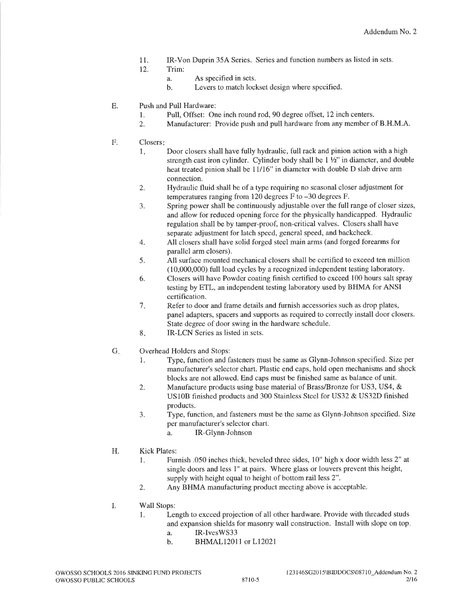- IR-Von Duprin 35A Series. Series and function numbers as listed in sets.  $11.$
- 12. Trim:
	- As specified in sets.  $\mathbf{a}$
	- Levers to match lockset design where specified.  $<sub>b</sub>$ </sub>
- E. Push and Pull Hardware:
	- Pull, Offset: One inch round rod, 90 degree offset, 12 inch centers. 1.
	- Manufacturer: Provide push and pull hardware from any member of B.H.M.A.  $2.$
- $\overline{F}$ . Closers:
	- Door closers shall have fully hydraulic, full rack and pinion action with a high  $1.$ strength cast iron cylinder. Cylinder body shall be 1 1/2" in diameter, and double heat treated pinion shall be 11/16" in diameter with double D slab drive arm connection.
	- Hydraulic fluid shall be of a type requiring no seasonal closer adjustment for  $\overline{2}$ . temperatures ranging from 120 degrees  $F$  to  $-30$  degrees  $F$ .
	- Spring power shall be continuously adjustable over the full range of closer sizes, 3. and allow for reduced opening force for the physically handicapped. Hydraulic regulation shall be by tamper-proof, non-critical valves. Closers shall have separate adjustment for latch speed, general speed, and backcheck.
	- All closers shall have solid forged steel main arms (and forged forearms for  $\overline{4}$ . parallel arm closers).
	- All surface mounted mechanical closers shall be certified to exceed ten million 5. (10,000,000) full load cycles by a recognized independent testing laboratory.
	- Closers will have Powder coating finish certified to exceed 100 hours salt spray 6. testing by ETL, an independent testing laboratory used by BHMA for ANSI certification.
	- $7.$ Refer to door and frame details and furnish accessories such as drop plates, panel adapters, spacers and supports as required to correctly install door closers. State degree of door swing in the hardware schedule.
	- 8. IR-LCN Series as listed in sets.
- $G_{\star}$ Overhead Holders and Stops:
	- Type, function and fasteners must be same as Glynn-Johnson specified. Size per 1. manufacturer's selector chart. Plastic end caps, hold open mechanisms and shock blocks are not allowed. End caps must be finished same as balance of unit.
	- Manufacture products using base material of Brass/Bronze for US3, US4, &  $2.$ US10B finished products and 300 Stainless Steel for US32 & US32D finished products.
	- Type, function, and fasteners must be the same as Glynn-Johnson specified. Size 3. per manufacturer's selector chart.
		- IR-Glynn-Johnson a.
- Η. **Kick Plates:** 
	- Furnish .050 inches thick, beveled three sides, 10" high x door width less 2" at  $\mathbf{1}$ . single doors and less 1" at pairs. Where glass or louvers prevent this height, supply with height equal to height of bottom rail less 2".
	- $\overline{2}$ . Any BHMA manufacturing product meeting above is acceptable.
- I. Wall Stops:
	- Length to exceed projection of all other hardware. Provide with threaded studs  $\mathbf{1}$ and expansion shields for masonry wall construction. Install with slope on top,
		- IR-IvesWS33 a.
		- BHMAL12011 or L12021  $\mathbf b$ .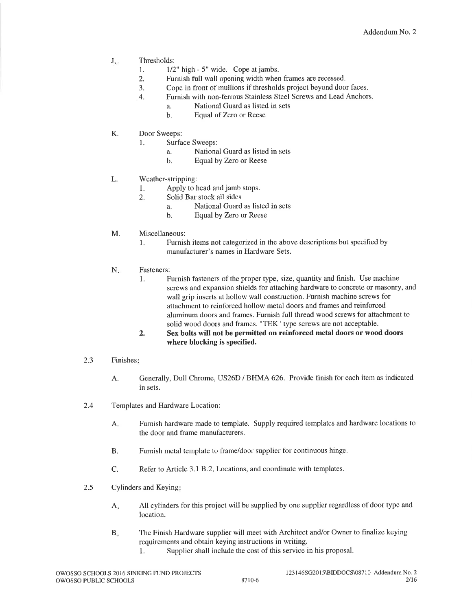- $\mathbf{J}_{\star}$ Thresholds:
	- $1/2$ " high 5" wide. Cope at jambs.  $\mathbf{1}$ .
	- Furnish full wall opening width when frames are recessed.  $\overline{2}$ .
	- Cope in front of mullions if thresholds project beyond door faces. 3.
	- Furnish with non-ferrous Stainless Steel Screws and Lead Anchors.  $\overline{4}$ .
		- National Guard as listed in sets  $\mathbf{a}$
		- Equal of Zero or Reese  $<sub>b</sub>$ .</sub>
- $K_{\cdot}$ Door Sweeps:
	- **Surface Sweeps:**  $\mathbf{1}$ .
		- National Guard as listed in sets  $\mathbf{a}$
		- $<sub>b</sub>$ .</sub> Equal by Zero or Reese
- L. Weather-stripping:
	- $\mathbf{1}$ . Apply to head and jamb stops.
	- $\overline{2}$ . Solid Bar stock all sides
		- National Guard as listed in sets  $\overline{a}$ .
		- Equal by Zero or Reese  $h$ .
- M. Miscellaneous:
	- Furnish items not categorized in the above descriptions but specified by  $\mathbf{1}$ . manufacturer's names in Hardware Sets.
- N. Fasteners:
	- Furnish fasteners of the proper type, size, quantity and finish. Use machine 1. screws and expansion shields for attaching hardware to concrete or masonry, and wall grip inserts at hollow wall construction. Furnish machine screws for attachment to reinforced hollow metal doors and frames and reinforced aluminum doors and frames. Furnish full thread wood screws for attachment to solid wood doors and frames. "TEK" type screws are not acceptable.
	- Sex bolts will not be permitted on reinforced metal doors or wood doors  $\overline{2}$ . where blocking is specified.
- Finishes:  $2.3$ 
	- Generally, Dull Chrome, US26D / BHMA 626. Provide finish for each item as indicated A. in sets.
- $2.4$ Templates and Hardware Location:
	- A. Furnish hardware made to template. Supply required templates and hardware locations to the door and frame manufacturers.
	- Furnish metal template to frame/door supplier for continuous hinge. **B.**
	- Refer to Article 3.1 B.2, Locations, and coordinate with templates.  $C_{\cdot}$
- $2.5$ Cylinders and Keying:
	- All cylinders for this project will be supplied by one supplier regardless of door type and  $A<sub>1</sub>$ location.
	- The Finish Hardware supplier will meet with Architect and/or Owner to finalize keying **B.** requirements and obtain keying instructions in writing.
		- Supplier shall include the cost of this service in his proposal. 1.

8710-6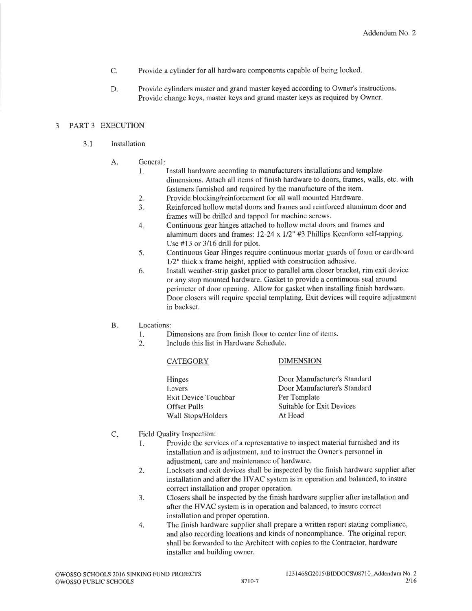- C. Provide a cylinder for all hardware components capable of being locked.
- Provide cylinders master and grand master keyed according to Owner's instructions. D. Provide change keys, master keys and grand master keys as required by Owner.

### PART 3 EXECUTION 3

- $3.1$ Installation
	- A. General:
		- Install hardware according to manufacturers installations and template  $\mathbf{1}$ . dimensions. Attach all items of finish hardware to doors, frames, walls, etc. with fasteners furnished and required by the manufacture of the item.
		- Provide blocking/reinforcement for all wall mounted Hardware.  $2.$
		- Reinforced hollow metal doors and frames and reinforced aluminum door and  $3.$ frames will be drilled and tapped for machine screws.
		- Continuous gear hinges attached to hollow metal doors and frames and  $4.$ aluminum doors and frames: 12-24 x 1/2" #3 Phillips Keenform self-tapping. Use  $#13$  or  $3/16$  drill for pilot.
		- Continuous Gear Hinges require continuous mortar guards of foam or cardboard 5.  $1/2$ " thick x frame height, applied with construction adhesive.
		- Install weather-strip gasket prior to parallel arm closer bracket, rim exit device 6. or any stop mounted hardware. Gasket to provide a continuous seal around perimeter of door opening. Allow for gasket when installing finish hardware. Door closers will require special templating. Exit devices will require adjustment in backset.
	- Locations:  $B<sub>1</sub>$ 
		- Dimensions are from finish floor to center line of items. 1.
		- Include this list in Hardware Schedule.  $2.$

### **CATEGORY**

# **DIMENSION**

| Door Manufacturer's Standard |
|------------------------------|
| Door Manufacturer's Standard |
| Per Template                 |
| Suitable for Exit Devices    |
| At Head                      |
|                              |

- $C_{\cdot}$ Field Quality Inspection:
	- Provide the services of a representative to inspect material furnished and its  $\mathbf{1}$ . installation and is adjustment, and to instruct the Owner's personnel in adjustment, care and maintenance of hardware.
	- Locksets and exit devices shall be inspected by the finish hardware supplier after 2. installation and after the HVAC system is in operation and balanced, to insure correct installation and proper operation.
	- 3. Closers shall be inspected by the finish hardware supplier after installation and after the HVAC system is in operation and balanced, to insure correct installation and proper operation.
	- The finish hardware supplier shall prepare a written report stating compliance, 4. and also recording locations and kinds of noncompliance. The original report shall be forwarded to the Architect with copies to the Contractor, hardware installer and building owner.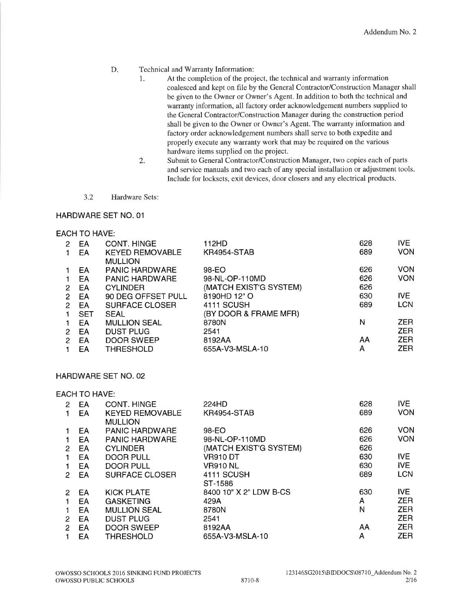#### D. Technical and Warranty Information:

- $\mathbf{1}$ . At the completion of the project, the technical and warranty information coalesced and kept on file by the General Contractor/Construction Manager shall be given to the Owner or Owner's Agent. In addition to both the technical and warranty information, all factory order acknowledgement numbers supplied to the General Contractor/Construction Manager during the construction period shall be given to the Owner or Owner's Agent. The warranty information and factory order acknowledgement numbers shall serve to both expedite and properly execute any warranty work that may be required on the various hardware items supplied on the project.
- Submit to General Contractor/Construction Manager, two copies each of parts 2. and service manuals and two each of any special installation or adjustment tools. Include for locksets, exit devices, door closers and any electrical products.
- $3.2$ Hardware Sets:

# HARDWARE SET NO. 01

# **EACH TO HAVE:**

| 2 | EA         | CONT. HINGE            | 112HD                  | 628 | IVE        |
|---|------------|------------------------|------------------------|-----|------------|
|   | EA         | <b>KEYED REMOVABLE</b> | <b>KR4954-STAB</b>     | 689 | <b>VON</b> |
|   |            | <b>MULLION</b>         |                        |     |            |
|   | EA         | <b>PANIC HARDWARE</b>  | 98-EO                  | 626 | VON        |
|   | ΕA         | <b>PANIC HARDWARE</b>  | 98-NL-OP-110MD         | 626 | <b>VON</b> |
| 2 | EA         | <b>CYLINDER</b>        | (MATCH EXIST'G SYSTEM) | 626 |            |
| 2 | EA         | 90 DEG OFFSET PULL     | 8190HD 12" O           | 630 | IVE.       |
| 2 | EA         | SURFACE CLOSER         | 4111 SCUSH             | 689 | <b>LCN</b> |
|   | <b>SET</b> | <b>SEAL</b>            | (BY DOOR & FRAME MFR)  |     |            |
|   | EA         | <b>MULLION SEAL</b>    | 8780N                  | N   | <b>ZER</b> |
| 2 | EA         | <b>DUST PLUG</b>       | 2541                   |     | <b>ZER</b> |
| 2 | EΑ         | <b>DOOR SWEEP</b>      | 8192AA                 | AΑ  | <b>ZER</b> |
|   | EА         | THRESHOLD              | 655A-V3-MSLA-10        | A   | <b>ZER</b> |
|   |            |                        |                        |     |            |

# HARDWARE SET NO. 02

# **EACH TO HAVE:**

| 2 | EA | CONT. HINGE            | 224HD                  | 628 | <b>IVE</b> |
|---|----|------------------------|------------------------|-----|------------|
|   | EA | <b>KEYED REMOVABLE</b> | <b>KR4954-STAB</b>     | 689 | <b>VON</b> |
|   |    | <b>MULLION</b>         |                        |     |            |
|   | EA | <b>PANIC HARDWARE</b>  | 98-EO                  | 626 | <b>VON</b> |
|   | EA | <b>PANIC HARDWARE</b>  | 98-NL-OP-110MD         | 626 | <b>VON</b> |
| 2 | EA | <b>CYLINDER</b>        | (MATCH EXIST'G SYSTEM) | 626 |            |
|   | EA | <b>DOOR PULL</b>       | VR910 DT               | 630 | <b>IVE</b> |
|   | EA | <b>DOOR PULL</b>       | <b>VR910 NL</b>        | 630 | <b>IVE</b> |
| 2 | EA | <b>SURFACE CLOSER</b>  | 4111 SCUSH             | 689 | <b>LCN</b> |
|   |    |                        | ST-1586                |     |            |
| 2 | EA | <b>KICK PLATE</b>      | 8400 10" X 2" LDW B-CS | 630 | <b>IVE</b> |
|   | EA | <b>GASKETING</b>       | 429A                   | A   | <b>ZER</b> |
|   | EA | <b>MULLION SEAL</b>    | 8780N                  | N   | ZER        |
| 2 | EA | <b>DUST PLUG</b>       | 2541                   |     | <b>ZER</b> |
| 2 | EA | DOOR SWEEP             | 8192AA                 | AA  | ZER        |
|   | EA | <b>THRESHOLD</b>       | 655A-V3-MSLA-10        | A   | ZER        |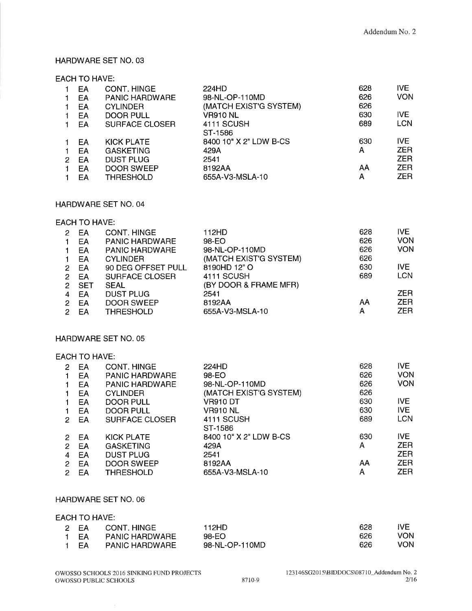# HARDWARE SET NO. 03

# **EACH TO HAVE:**

|   | EA | CONT. HINGE           | 224HD                  | 628 | IVE.       |
|---|----|-----------------------|------------------------|-----|------------|
|   | ËΑ | <b>PANIC HARDWARE</b> | 98-NL-OP-110MD         | 626 | <b>VON</b> |
|   | ΕA | <b>CYLINDER</b>       | (MATCH EXIST'G SYSTEM) | 626 |            |
|   | EA | <b>DOOR PULL</b>      | <b>VR910 NL</b>        | 630 | IVE.       |
|   | EA | <b>SURFACE CLOSER</b> | 4111 SCUSH             | 689 | <b>LCN</b> |
|   |    |                       | ST-1586                |     |            |
|   | EA | <b>KICK PLATE</b>     | 8400 10" X 2" LDW B-CS | 630 | IVE.       |
|   | EΑ | <b>GASKETING</b>      | 429A                   | A   | <b>ZER</b> |
| 2 | EA | <b>DUST PLUG</b>      | 2541                   |     | <b>ZER</b> |
|   | EА | <b>DOOR SWEEP</b>     | 8192AA                 | AA  | <b>ZER</b> |
|   | EА | THRESHOLD             | 655A-V3-MSLA-10        | A   | <b>ZER</b> |

### HARDWARE SET NO. 04

### **EACH TO HAVE:**

| 2              | EA         | CONT. HINGE           | 112HD                  | 628 | <b>IVE</b> |
|----------------|------------|-----------------------|------------------------|-----|------------|
|                |            | <b>PANIC HARDWARE</b> | 98-EO                  | 626 | <b>VON</b> |
|                | EA         |                       |                        |     |            |
|                | ΕA         | <b>PANIC HARDWARE</b> | 98-NL-OP-110MD         | 626 | <b>VON</b> |
|                | EA         | <b>CYLINDER</b>       | (MATCH EXIST'G SYSTEM) | 626 |            |
| 2.             | EA         | 90 DEG OFFSET PULL    | 8190HD 12" O           | 630 | IVE.       |
| 2              | EA         | <b>SURFACE CLOSER</b> | 4111 SCUSH             | 689 | <b>LCN</b> |
| 2              | <b>SET</b> | <b>SEAL</b>           | (BY DOOR & FRAME MFR)  |     |            |
|                | EA         | <b>DUST PLUG</b>      | 2541                   |     | ZER.       |
| 2              | EA         | DOOR SWEEP            | 8192AA                 | AA  | <b>ZER</b> |
| $\overline{2}$ | ЕA         | <b>THRESHOLD</b>      | 655A-V3-MSLA-10        | А   | <b>ZER</b> |

# HARDWARE SET NO. 05

# **EACH TO HAVE:**

| 2 | EA | <b>CONT. HINGE</b>    | 224HD                  | 628 | IVE.       |
|---|----|-----------------------|------------------------|-----|------------|
|   | EA | <b>PANIC HARDWARE</b> | 98-EO                  | 626 | <b>VON</b> |
|   | EA | <b>PANIC HARDWARE</b> | 98-NL-OP-110MD         | 626 | <b>VON</b> |
|   | EA | <b>CYLINDER</b>       | (MATCH EXIST'G SYSTEM) | 626 |            |
|   | EA | DOOR PULL             | VR910 DT               | 630 | IVE.       |
|   | EA | DOOR PULL             | <b>VR910 NL</b>        | 630 | IVE.       |
| 2 | EA | <b>SURFACE CLOSER</b> | 4111 SCUSH             | 689 | <b>LCN</b> |
|   |    |                       | ST-1586                |     |            |
| 2 | EA | <b>KICK PLATE</b>     | 8400 10" X 2" LDW B-CS | 630 | IVE.       |
| 2 | EA | <b>GASKETING</b>      | 429A                   | А   | <b>ZER</b> |
| 4 | EA | <b>DUST PLUG</b>      | 2541                   |     | <b>ZER</b> |
| 2 | EA | DOOR SWEEP            | 8192AA                 | AA  | <b>ZER</b> |
| 2 | EA | <b>THRESHOLD</b>      | 655A-V3-MSLA-10        | A   | ZER.       |
|   |    |                       |                        |     |            |

# HARDWARE SET NO. 06

### **EACH TO HAVE:**

| 2 EA | CONT HINGE            | 112HD.         | 628 | JVF        |
|------|-----------------------|----------------|-----|------------|
| 1 FA | <b>PANIC HARDWARE</b> | 98-EO          | 626 | <b>VON</b> |
| 1 FA | <b>PANIC HARDWARE</b> | 98-NL-OP-110MD | 626 |            |

ß.